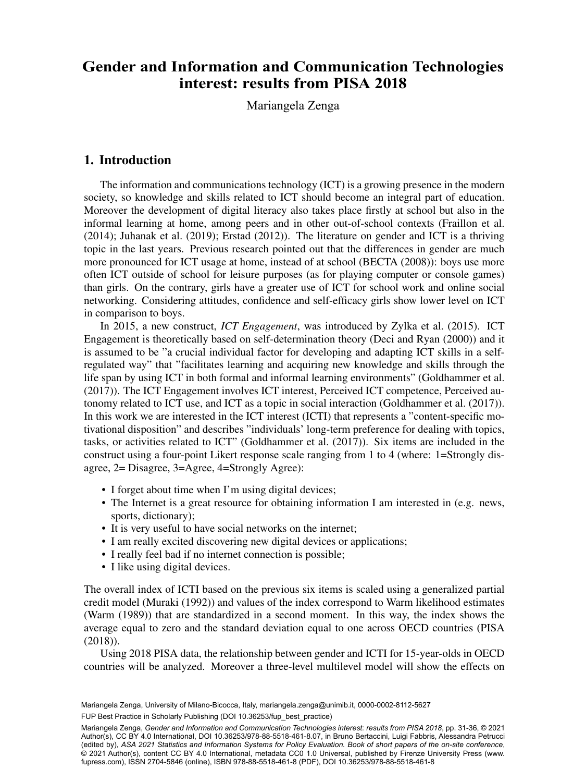# interest: results from PISA 2018  $\frac{1}{2}$  Department of  $\frac{1}{2}$  Department  $\frac{1}{2}$  Department Methods, Milano, Milano, Milano, Milano, Milano, Milano, Milano, Milano, Milano, Milano, Milano, Milano, Milano, Milano, Milano, Milano, Milano, Milano, Mi **Gender and Information and Communication Technologies**

Mariangela Zenga

# 1. Introduction

The information and communications technology (ICT) is a growing presence in the modern society, so knowledge and skills related to ICT should become an integral part of education. Moreover the development of digital literacy also takes place firstly at school but also in the informal learning at home, among peers and in other out-of-school contexts (Fraillon et al. (2014); Juhanak et al. (2019); Erstad (2012)). The literature on gender and ICT is a thriving topic in the last years. Previous research pointed out that the differences in gender are much more pronounced for ICT usage at home, instead of at school (BECTA (2008)): boys use more often ICT outside of school for leisure purposes (as for playing computer or console games) than girls. On the contrary, girls have a greater use of ICT for school work and online social networking. Considering attitudes, confidence and self-efficacy girls show lower level on ICT in comparison to boys.

In 2015, a new construct, *ICT Engagement*, was introduced by Zylka et al. (2015). ICT Engagement is theoretically based on self-determination theory (Deci and Ryan (2000)) and it is assumed to be "a crucial individual factor for developing and adapting ICT skills in a selfregulated way" that "facilitates learning and acquiring new knowledge and skills through the life span by using ICT in both formal and informal learning environments" (Goldhammer et al. (2017)). The ICT Engagement involves ICT interest, Perceived ICT competence, Perceived autonomy related to ICT use, and ICT as a topic in social interaction (Goldhammer et al. (2017)). In this work we are interested in the ICT interest (ICTI) that represents a "content-specific motivational disposition" and describes "individuals' long-term preference for dealing with topics, tasks, or activities related to ICT" (Goldhammer et al. (2017)). Six items are included in the construct using a four-point Likert response scale ranging from 1 to 4 (where: 1=Strongly disagree, 2= Disagree, 3=Agree, 4=Strongly Agree):

- I forget about time when I'm using digital devices;
- The Internet is a great resource for obtaining information I am interested in (e.g. news, sports, dictionary);
- It is very useful to have social networks on the internet;
- I am really excited discovering new digital devices or applications;
- I really feel bad if no internet connection is possible;
- I like using digital devices.

The overall index of ICTI based on the previous six items is scaled using a generalized partial credit model (Muraki (1992)) and values of the index correspond to Warm likelihood estimates (Warm (1989)) that are standardized in a second moment. In this way, the index shows the average equal to zero and the standard deviation equal to one across OECD countries (PISA (2018)).

Using 2018 PISA data, the relationship between gender and ICTI for 15-year-olds in OECD countries will be analyzed. Moreover a three-level multilevel model will show the effects on

FUP Best Practice in Scholarly Publishing (DOI [10.36253/fup\\_best\\_practice](https://doi.org/10.36253/fup_best_practice)) Mariangela Zenga, University of Milano-Bicocca, Italy, [mariangela.zenga@unimib.it,](mailto:mariangela.zenga@unimib.it) [0000-0002-8112-5627](https://orcid.org/0000-0002-8112-5627)

Mariangela Zenga, *Gender and Information and Communication Technologies interest: results from PISA 2018*, pp. 31-36, © 2021 Author(s), [CC BY 4.0 International](http://creativecommons.org/licenses/by/4.0/legalcode), DOI [10.36253/978-88-5518-461-8.07,](https://doi.org/10.36253/978-88-5518-461-8.07) in Bruno Bertaccini, Luigi Fabbris, Alessandra Petrucci (edited by), *ASA 2021 Statistics and Information Systems for Policy Evaluation. Book of short papers of the on-site conference*, © 2021 Author(s), content [CC BY 4.0 International](http://creativecommons.org/licenses/by/4.0/legalcode), metadata [CC0 1.0 Universal](https://creativecommons.org/publicdomain/zero/1.0/legalcode), published by Firenze University Press [\(www.](http://www.fupress.com) [fupress.com\)](http://www.fupress.com), ISSN 2704-5846 (online), ISBN 978-88-5518-461-8 (PDF), DOI [10.36253/978-88-5518-461-8](https://doi.org/10.36253/978-88-5518-461-8)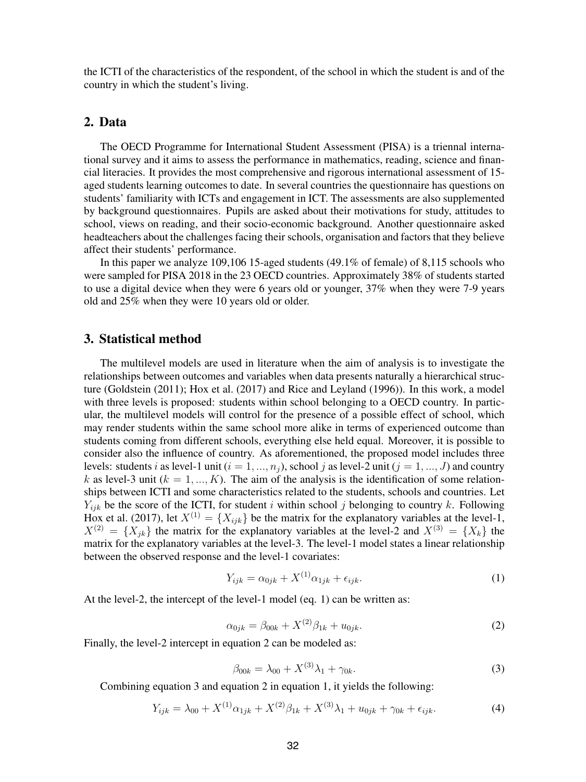the ICTI of the characteristics of the respondent, of the school in which the student is and of the country in which the student's living.

## 2. Data

The OECD Programme for International Student Assessment (PISA) is a triennal international survey and it aims to assess the performance in mathematics, reading, science and financial literacies. It provides the most comprehensive and rigorous international assessment of 15 aged students learning outcomes to date. In several countries the questionnaire has questions on students' familiarity with ICTs and engagement in ICT. The assessments are also supplemented by background questionnaires. Pupils are asked about their motivations for study, attitudes to school, views on reading, and their socio-economic background. Another questionnaire asked headteachers about the challenges facing their schools, organisation and factors that they believe affect their students' performance.

In this paper we analyze 109,106 15-aged students (49.1% of female) of 8,115 schools who were sampled for PISA 2018 in the 23 OECD countries. Approximately 38% of students started to use a digital device when they were 6 years old or younger, 37% when they were 7-9 years old and 25% when they were 10 years old or older.

## 3. Statistical method

The multilevel models are used in literature when the aim of analysis is to investigate the relationships between outcomes and variables when data presents naturally a hierarchical structure (Goldstein (2011); Hox et al. (2017) and Rice and Leyland (1996)). In this work, a model with three levels is proposed: students within school belonging to a OECD country. In particular, the multilevel models will control for the presence of a possible effect of school, which may render students within the same school more alike in terms of experienced outcome than students coming from different schools, everything else held equal. Moreover, it is possible to consider also the influence of country. As aforementioned, the proposed model includes three levels: students i as level-1 unit  $(i = 1, ..., n<sub>i</sub>)$ , school j as level-2 unit  $(j = 1, ..., J)$  and country k as level-3 unit ( $k = 1, ..., K$ ). The aim of the analysis is the identification of some relationships between ICTI and some characteristics related to the students, schools and countries. Let  $Y_{ijk}$  be the score of the ICTI, for student i within school j belonging to country k. Following Hox et al. (2017), let  $X^{(1)} = \{X_{ijk}\}\$ be the matrix for the explanatory variables at the level-1,  $X^{(2)} = \{X_{ik}\}\$ the matrix for the explanatory variables at the level-2 and  $X^{(3)} = \{X_k\}\$ the matrix for the explanatory variables at the level-3. The level-1 model states a linear relationship between the observed response and the level-1 covariates:

$$
Y_{ijk} = \alpha_{0jk} + X^{(1)}\alpha_{1jk} + \epsilon_{ijk}.\tag{1}
$$

At the level-2, the intercept of the level-1 model (eq. 1) can be written as:

$$
\alpha_{0jk} = \beta_{00k} + X^{(2)}\beta_{1k} + u_{0jk}.\tag{2}
$$

Finally, the level-2 intercept in equation 2 can be modeled as:

$$
\beta_{00k} = \lambda_{00} + X^{(3)}\lambda_1 + \gamma_{0k}.\tag{3}
$$

Combining equation 3 and equation 2 in equation 1, it yields the following:

$$
Y_{ijk} = \lambda_{00} + X^{(1)}\alpha_{1jk} + X^{(2)}\beta_{1k} + X^{(3)}\lambda_1 + u_{0jk} + \gamma_{0k} + \epsilon_{ijk}.
$$
 (4)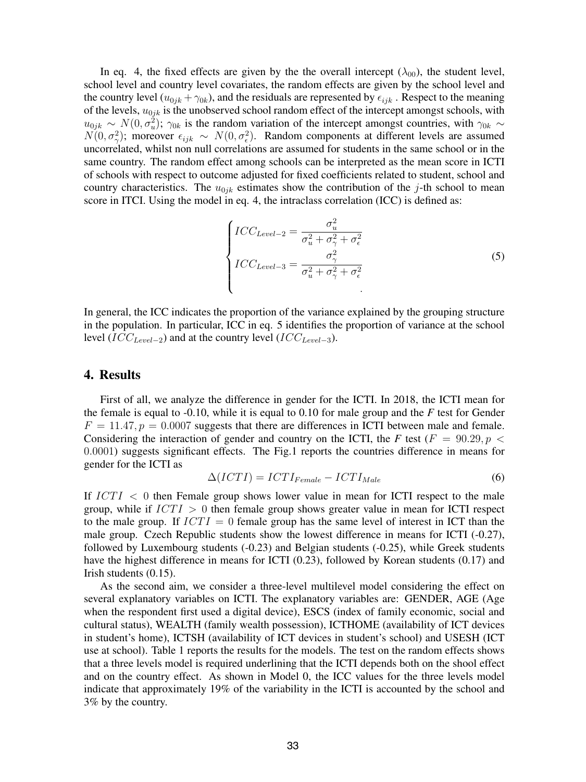In eq. 4, the fixed effects are given by the the overall intercept  $(\lambda_{00})$ , the student level, school level and country level covariates, the random effects are given by the school level and the country level  $(u_{0ik} + \gamma_{0k})$ , and the residuals are represented by  $\epsilon_{ijk}$ . Respect to the meaning of the levels,  $u_{0jk}$  is the unobserved school random effect of the intercept amongst schools, with  $u_{0jk} \sim N(0, \sigma_u^2)$ ;  $\gamma_{0k}$  is the random variation of the intercept amongst countries, with  $\gamma_{0k} \sim$  $N(0, \sigma_{\gamma}^2)$ ; moreover  $\epsilon_{ijk} \sim N(0, \sigma_{\epsilon}^2)$ . Random components at different levels are assumed uncorrelated, whilst non null correlations are assumed for students in the same school or in the same country. The random effect among schools can be interpreted as the mean score in ICTI of schools with respect to outcome adjusted for fixed coefficients related to student, school and country characteristics. The  $u_{0jk}$  estimates show the contribution of the j-th school to mean score in ITCI. Using the model in eq. 4, the intraclass correlation (ICC) is defined as:

$$
\begin{cases}\nICC_{Level-2} = \frac{\sigma_u^2}{\sigma_u^2 + \sigma_\gamma^2 + \sigma_\epsilon^2} \\
ICC_{Level-3} = \frac{\sigma_\gamma^2}{\sigma_u^2 + \sigma_\gamma^2 + \sigma_\epsilon^2}\n\end{cases} \tag{5}
$$

In general, the ICC indicates the proportion of the variance explained by the grouping structure in the population. In particular, ICC in eq. 5 identifies the proportion of variance at the school level ( $ICC_{Level-2}$ ) and at the country level ( $ICC_{Level-3}$ ).

#### 4. Results

First of all, we analyze the difference in gender for the ICTI. In 2018, the ICTI mean for the female is equal to -0.10, while it is equal to 0.10 for male group and the *F* test for Gender  $F = 11.47, p = 0.0007$  suggests that there are differences in ICTI between male and female. Considering the interaction of gender and country on the ICTI, the *F* test ( $F = 90.29, p <$ 0.0001) suggests significant effects. The Fig.1 reports the countries difference in means for gender for the ICTI as

$$
\Delta(ICTI) = ICTI_{Female} - ICTI_{Male}
$$
\n(6)

If  $ICTI < 0$  then Female group shows lower value in mean for ICTI respect to the male group, while if  $ICTI > 0$  then female group shows greater value in mean for ICTI respect to the male group. If  $ICTI = 0$  female group has the same level of interest in ICT than the male group. Czech Republic students show the lowest difference in means for ICTI (-0.27), followed by Luxembourg students (-0.23) and Belgian students (-0.25), while Greek students have the highest difference in means for ICTI (0.23), followed by Korean students (0.17) and Irish students (0.15).

As the second aim, we consider a three-level multilevel model considering the effect on several explanatory variables on ICTI. The explanatory variables are: GENDER, AGE (Age when the respondent first used a digital device), ESCS (index of family economic, social and cultural status), WEALTH (family wealth possession), ICTHOME (availability of ICT devices in student's home), ICTSH (availability of ICT devices in student's school) and USESH (ICT use at school). Table 1 reports the results for the models. The test on the random effects shows that a three levels model is required underlining that the ICTI depends both on the shool effect and on the country effect. As shown in Model 0, the ICC values for the three levels model indicate that approximately 19% of the variability in the ICTI is accounted by the school and 3% by the country.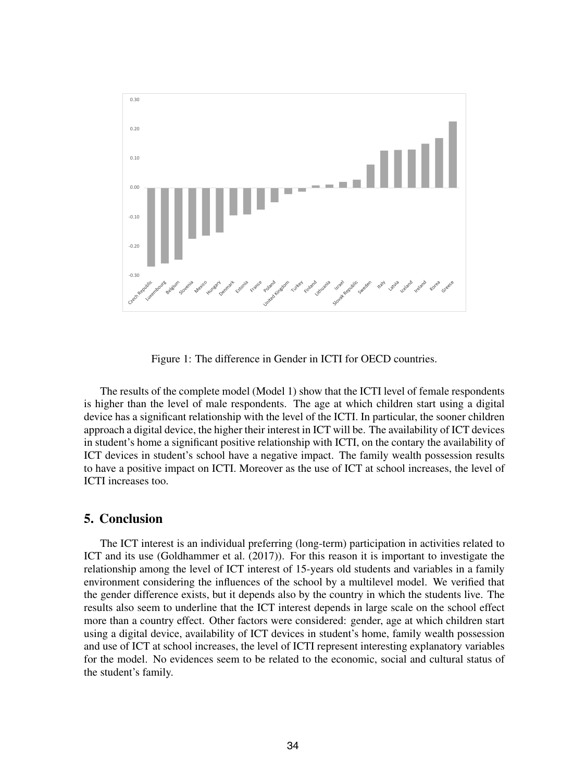

Figure 1: The difference in Gender in ICTI for OECD countries.

The results of the complete model (Model 1) show that the ICTI level of female respondents is higher than the level of male respondents. The age at which children start using a digital device has a significant relationship with the level of the ICTI. In particular, the sooner children approach a digital device, the higher their interest in ICT will be. The availability of ICT devices in student's home a significant positive relationship with ICTI, on the contary the availability of ICT devices in student's school have a negative impact. The family wealth possession results to have a positive impact on ICTI. Moreover as the use of ICT at school increases, the level of ICTI increases too.

## 5. Conclusion

The ICT interest is an individual preferring (long-term) participation in activities related to ICT and its use (Goldhammer et al. (2017)). For this reason it is important to investigate the relationship among the level of ICT interest of 15-years old students and variables in a family environment considering the influences of the school by a multilevel model. We verified that the gender difference exists, but it depends also by the country in which the students live. The results also seem to underline that the ICT interest depends in large scale on the school effect more than a country effect. Other factors were considered: gender, age at which children start using a digital device, availability of ICT devices in student's home, family wealth possession and use of ICT at school increases, the level of ICTI represent interesting explanatory variables for the model. No evidences seem to be related to the economic, social and cultural status of the student's family.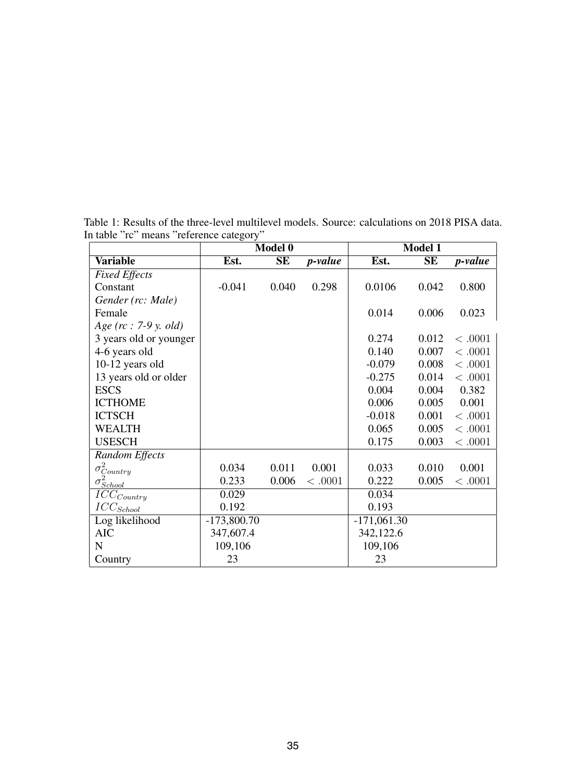|                                              | Model 0       |       |                 | Model 1       |       |                 |
|----------------------------------------------|---------------|-------|-----------------|---------------|-------|-----------------|
| <b>Variable</b>                              | Est.          | SE    | <i>p</i> -value | Est.          | SE    | <i>p</i> -value |
| <b>Fixed Effects</b>                         |               |       |                 |               |       |                 |
| Constant                                     | $-0.041$      | 0.040 | 0.298           | 0.0106        | 0.042 | 0.800           |
| Gender (rc: Male)                            |               |       |                 |               |       |                 |
| Female                                       |               |       |                 | 0.014         | 0.006 | 0.023           |
| Age ( $rc: 7-9y$ , old)                      |               |       |                 |               |       |                 |
| 3 years old or younger                       |               |       |                 | 0.274         | 0.012 | < .0001         |
| 4-6 years old                                |               |       |                 | 0.140         | 0.007 | < .0001         |
| 10-12 years old                              |               |       |                 | $-0.079$      | 0.008 | < .0001         |
| 13 years old or older                        |               |       |                 | $-0.275$      | 0.014 | < .0001         |
| <b>ESCS</b>                                  |               |       |                 | 0.004         | 0.004 | 0.382           |
| <b>ICTHOME</b>                               |               |       |                 | 0.006         | 0.005 | 0.001           |
| <b>ICTSCH</b>                                |               |       |                 | $-0.018$      | 0.001 | < .0001         |
| <b>WEALTH</b>                                |               |       |                 | 0.065         | 0.005 | < .0001         |
| <b>USESCH</b>                                |               |       |                 | 0.175         | 0.003 | $<.0001$        |
| Random Effects                               |               |       |                 |               |       |                 |
|                                              | 0.034         | 0.011 | 0.001           | 0.033         | 0.010 | 0.001           |
| $\sigma_{Country}^2 \over \sigma_{School}^2$ | 0.233         | 0.006 | < .0001         | 0.222         | 0.005 | < .0001         |
| $ICC_{Country}$                              | 0.029         |       |                 | 0.034         |       |                 |
| $ICC_{School}$                               | 0.192         |       |                 | 0.193         |       |                 |
| Log likelihood                               | $-173,800.70$ |       |                 | $-171,061.30$ |       |                 |
| <b>AIC</b>                                   | 347,607.4     |       |                 | 342,122.6     |       |                 |
| $\mathbf N$                                  | 109,106       |       |                 | 109,106       |       |                 |
| Country                                      | 23            |       |                 | 23            |       |                 |

Table 1: Results of the three-level multilevel models. Source: calculations on 2018 PISA data. In table "rc" means "reference category"